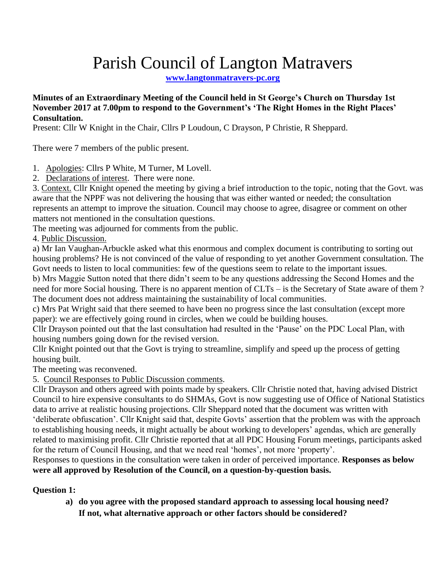# Parish Council of Langton Matravers

**[www.langtonmatravers-pc.org](http://www.langtonmatravers-pc.org/)**

**Minutes of an Extraordinary Meeting of the Council held in St George's Church on Thursday 1st November 2017 at 7.00pm to respond to the Government's 'The Right Homes in the Right Places' Consultation.** 

Present: Cllr W Knight in the Chair, Cllrs P Loudoun, C Drayson, P Christie, R Sheppard.

There were 7 members of the public present.

1. Apologies: Cllrs P White, M Turner, M Lovell.

2. Declarations of interest. There were none.

3. Context. Cllr Knight opened the meeting by giving a brief introduction to the topic, noting that the Govt. was aware that the NPPF was not delivering the housing that was either wanted or needed; the consultation represents an attempt to improve the situation. Council may choose to agree, disagree or comment on other matters not mentioned in the consultation questions.

The meeting was adjourned for comments from the public.

4. Public Discussion.

a) Mr Ian Vaughan-Arbuckle asked what this enormous and complex document is contributing to sorting out housing problems? He is not convinced of the value of responding to yet another Government consultation. The Govt needs to listen to local communities: few of the questions seem to relate to the important issues.

b) Mrs Maggie Sutton noted that there didn't seem to be any questions addressing the Second Homes and the need for more Social housing. There is no apparent mention of CLTs – is the Secretary of State aware of them ? The document does not address maintaining the sustainability of local communities.

c) Mrs Pat Wright said that there seemed to have been no progress since the last consultation (except more paper): we are effectively going round in circles, when we could be building houses.

Cllr Drayson pointed out that the last consultation had resulted in the 'Pause' on the PDC Local Plan, with housing numbers going down for the revised version.

Cllr Knight pointed out that the Govt is trying to streamline, simplify and speed up the process of getting housing built.

The meeting was reconvened.

5. Council Responses to Public Discussion comments.

Cllr Drayson and others agreed with points made by speakers. Cllr Christie noted that, having advised District Council to hire expensive consultants to do SHMAs, Govt is now suggesting use of Office of National Statistics data to arrive at realistic housing projections. Cllr Sheppard noted that the document was written with 'deliberate obfuscation'. Cllr Knight said that, despite Govts' assertion that the problem was with the approach to establishing housing needs, it might actually be about working to developers' agendas, which are generally related to maximising profit. Cllr Christie reported that at all PDC Housing Forum meetings, participants asked for the return of Council Housing, and that we need real 'homes', not more 'property'.

Responses to questions in the consultation were taken in order of perceived importance. **Responses as below were all approved by Resolution of the Council, on a question-by-question basis.**

#### **Question 1:**

**a) do you agree with the proposed standard approach to assessing local housing need? If not, what alternative approach or other factors should be considered?**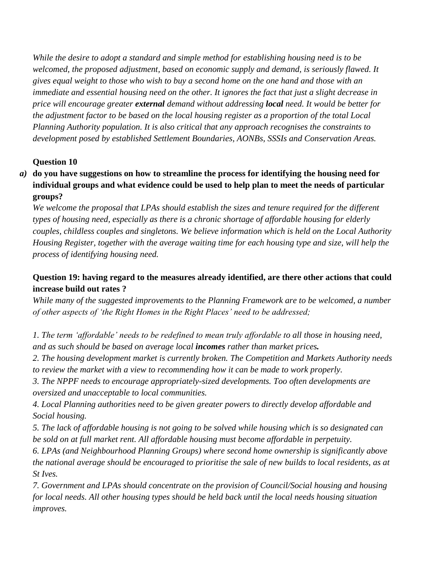*While the desire to adopt a standard and simple method for establishing housing need is to be welcomed, the proposed adjustment, based on economic supply and demand, is seriously flawed. It gives equal weight to those who wish to buy a second home on the one hand and those with an immediate and essential housing need on the other. It ignores the fact that just a slight decrease in price will encourage greater external demand without addressing local need. It would be better for the adjustment factor to be based on the local housing register as a proportion of the total Local Planning Authority population. It is also critical that any approach recognises the constraints to development posed by established Settlement Boundaries, AONBs, SSSIs and Conservation Areas.*

#### **Question 10**

*a)* **do you have suggestions on how to streamline the process for identifying the housing need for individual groups and what evidence could be used to help plan to meet the needs of particular groups?**

*We welcome the proposal that LPAs should establish the sizes and tenure required for the different types of housing need, especially as there is a chronic shortage of affordable housing for elderly couples, childless couples and singletons. We believe information which is held on the Local Authority Housing Register, together with the average waiting time for each housing type and size, will help the process of identifying housing need.*

## **Question 19: having regard to the measures already identified, are there other actions that could increase build out rates ?**

*While many of the suggested improvements to the Planning Framework are to be welcomed, a number of other aspects of 'the Right Homes in the Right Places' need to be addressed;*

*1. The term 'affordable' needs to be redefined to mean truly affordable to all those in housing need, and as such should be based on average local incomes rather than market prices.*

*2. The housing development market is currently broken. The Competition and Markets Authority needs to review the market with a view to recommending how it can be made to work properly.* 

*3. The NPPF needs to encourage appropriately-sized developments. Too often developments are oversized and unacceptable to local communities.*

*4. Local Planning authorities need to be given greater powers to directly develop affordable and Social housing.*

*5. The lack of affordable housing is not going to be solved while housing which is so designated can be sold on at full market rent. All affordable housing must become affordable in perpetuity.*

*6. LPAs (and Neighbourhood Planning Groups) where second home ownership is significantly above the national average should be encouraged to prioritise the sale of new builds to local residents, as at St Ives.*

*7. Government and LPAs should concentrate on the provision of Council/Social housing and housing for local needs. All other housing types should be held back until the local needs housing situation improves.*